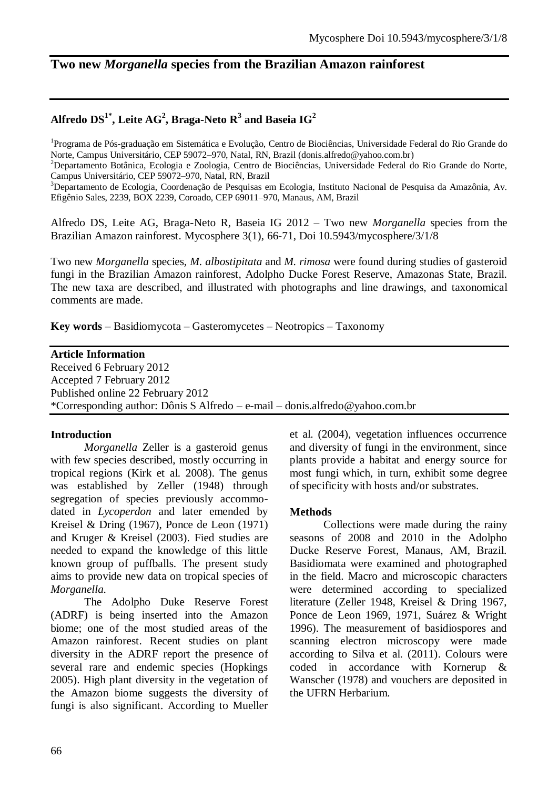# **Two new** *Morganella* **species from the Brazilian Amazon rainforest**

# $\mathbf{A}$ lfredo  $\mathbf{D}\mathbf{S}^{1^*}$ , Leite A $\mathbf{G}^2$ , Braga-Neto  $\mathbf{R}^3$  and Baseia  $\mathbf{I}\mathbf{G}^2$

<sup>1</sup>Programa de Pós-graduação em Sistemática e Evolução, Centro de Biociências, Universidade Federal do Rio Grande do Norte, Campus Universitário, CEP 59072–970, Natal, RN, Brazil [\(donis.alfredo@yahoo.com.br\)](mailto:donis.alfredo@yahoo.com.br)

<sup>2</sup>Departamento Botânica, Ecologia e Zoologia, Centro de Biociências, Universidade Federal do Rio Grande do Norte, Campus Universitário, CEP 59072–970, Natal, RN, Brazil

<sup>3</sup>Departamento de Ecologia, Coordenação de Pesquisas em Ecologia, Instituto Nacional de Pesquisa da Amazônia, Av. Efigênio Sales, 2239, BOX 2239, Coroado, CEP 69011–970, Manaus, AM, Brazil

Alfredo DS, Leite AG, Braga-Neto R, Baseia IG 2012 – Two new *Morganella* species from the Brazilian Amazon rainforest. Mycosphere 3(1), 66-71, Doi 10.5943/mycosphere/3/1/8

Two new *Morganella* species*, M. albostipitata* and *M. rimosa* were found during studies of gasteroid fungi in the Brazilian Amazon rainforest, Adolpho Ducke Forest Reserve, Amazonas State, Brazil. The new taxa are described, and illustrated with photographs and line drawings, and taxonomical comments are made.

**Key words** – Basidiomycota – Gasteromycetes – Neotropics – Taxonomy

#### **Article Information**

Received 6 February 2012 Accepted 7 February 2012 Published online 22 February 2012 \*Corresponding author: Dônis S Alfredo – e-mail – donis.alfredo@yahoo.com.br

### **Introduction**

*Morganella* Zeller is a gasteroid genus with few species described, mostly occurring in tropical regions (Kirk et al. 2008). The genus was established by Zeller (1948) through segregation of species previously accommodated in *Lycoperdon* and later emended by Kreisel & Dring (1967), Ponce de Leon (1971) and Kruger & Kreisel (2003). Fied studies are needed to expand the knowledge of this little known group of puffballs. The present study aims to provide new data on tropical species of *Morganella.*

The Adolpho Duke Reserve Forest (ADRF) is being inserted into the Amazon biome; one of the most studied areas of the Amazon rainforest. Recent studies on plant diversity in the ADRF report the presence of several rare and endemic species (Hopkings 2005). High plant diversity in the vegetation of the Amazon biome suggests the diversity of fungi is also significant. According to Mueller et al. (2004), vegetation influences occurrence and diversity of fungi in the environment, since plants provide a habitat and energy source for most fungi which, in turn, exhibit some degree of specificity with hosts and/or substrates.

### **Methods**

Collections were made during the rainy seasons of 2008 and 2010 in the Adolpho Ducke Reserve Forest, Manaus, AM, Brazil. Basidiomata were examined and photographed in the field. Macro and microscopic characters were determined according to specialized literature (Zeller 1948, Kreisel & Dring 1967, Ponce de Leon 1969, 1971, Suárez & Wright 1996). The measurement of basidiospores and scanning electron microscopy were made according to Silva et al. (2011). Colours were coded in accordance with Kornerup & Wanscher (1978) and vouchers are deposited in the UFRN Herbarium.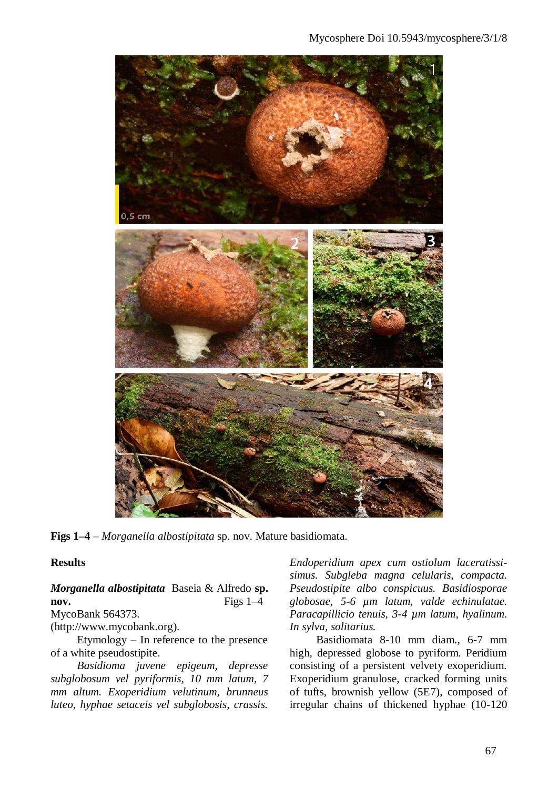

**Figs 1–4** – *Morganella albostipitata* sp. nov. Mature basidiomata.

#### **Results**

*Morganella albostipitata* Baseia & Alfredo **sp. nov.** Figs 1–4 MycoBank 564373.

[\(http://www.mycobank.org\)](http://www.mycobank.org/).

Etymology – In reference to the presence of a white pseudostipite.

*Basidioma juvene epigeum, depresse subglobosum vel pyriformis, 10 mm latum, 7 mm altum. Exoperidium velutinum, brunneus luteo, hyphae setaceis vel subglobosis, crassis.* 

*Endoperidium apex cum ostiolum laceratissisimus. Subgleba magna celularis, compacta. Pseudostipite albo conspicuus. Basidiosporae globosae, 5-6 µm latum, valde echinulatae. Paracapillicio tenuis, 3-4 µm latum, hyalinum. In sylva, solitarius.*

Basidiomata 8-10 mm diam., 6-7 mm high, depressed globose to pyriform. Peridium consisting of a persistent velvety exoperidium. Exoperidium granulose, cracked forming units of tufts, brownish yellow (5E7), composed of irregular chains of thickened hyphae (10-120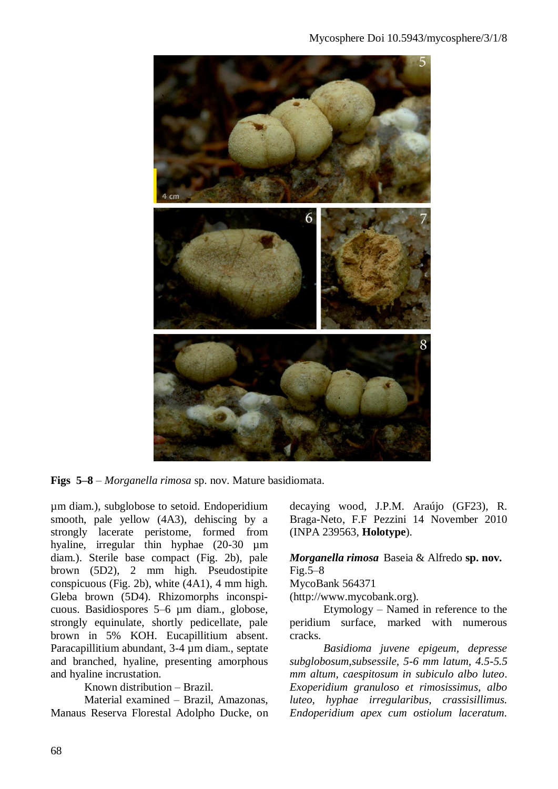

**Figs 5–8** – *Morganella rimosa* sp. nov. Mature basidiomata.

µm diam.), subglobose to setoid. Endoperidium smooth, pale yellow (4A3), dehiscing by a strongly lacerate peristome, formed from hyaline, irregular thin hyphae (20-30 µm diam.). Sterile base compact (Fig. 2b), pale brown (5D2), 2 mm high. Pseudostipite conspicuous (Fig. 2b), white (4A1), 4 mm high. Gleba brown (5D4). Rhizomorphs inconspicuous. Basidiospores 5–6 µm diam., globose, strongly equinulate, shortly pedicellate, pale brown in 5% KOH. Eucapillitium absent. Paracapillitium abundant, 3-4 µm diam., septate and branched, hyaline, presenting amorphous and hyaline incrustation.

Known distribution – Brazil.

Material examined – Brazil, Amazonas, Manaus Reserva Florestal Adolpho Ducke, on decaying wood, J.P.M. Araújo (GF23), R. Braga-Neto, F.F Pezzini 14 November 2010 (INPA 239563, **Holotype**).

*Morganella rimosa* Baseia & Alfredo **sp. nov.**  $Fig.5-8$ 

MycoBank 564371

(http://www.mycobank.org).

Etymology – Named in reference to the peridium surface, marked with numerous cracks.

*Basidioma juvene epigeum, depresse subglobosum,subsessile, 5-6 mm latum, 4.5-5.5 mm altum, caespitosum in subiculo albo luteo*. *Exoperidium granuloso et rimosissimus, albo luteo, hyphae irregularibus, crassisillimus. Endoperidium apex cum ostiolum laceratum.*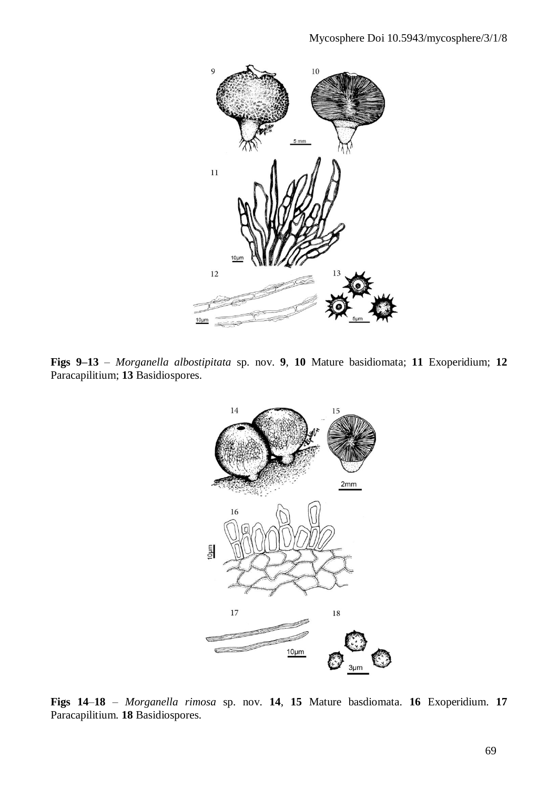

**Figs 9–13** – *Morganella albostipitata* sp. nov. **9**, **10** Mature basidiomata; **11** Exoperidium; **12** Paracapilitium; **13** Basidiospores.



**Figs 14**–**18** – *Morganella rimosa* sp. nov. **14**, **15** Mature basdiomata. **16** Exoperidium. **17**  Paracapilitium. **18** Basidiospores.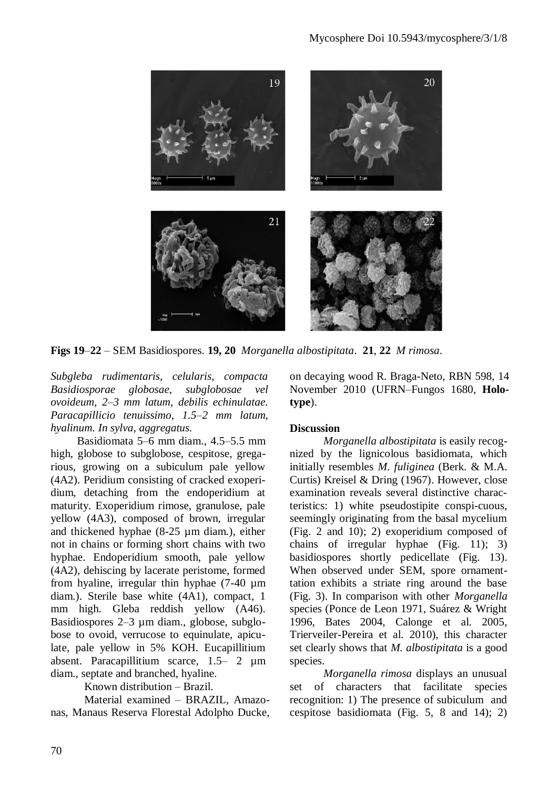

**Figs 19**–**22** – SEM Basidiospores. **19, 20** *Morganella albostipitata*. **21**, **22** *M rimosa*.

*Subgleba rudimentaris, celularis, compacta Basidiosporae globosae, subglobosae vel ovoideum, 2–3 mm latum, debilis echinulatae. Paracapillicio tenuissimo, 1.5–2 mm latum, hyalinum. In sylva, aggregatus.*

Basidiomata 5–6 mm diam., 4.5–5.5 mm high, globose to subglobose, cespitose, gregarious, growing on a subiculum pale yellow (4A2). Peridium consisting of cracked exoperidium, detaching from the endoperidium at maturity. Exoperidium rimose, granulose, pale yellow (4A3), composed of brown, irregular and thickened hyphae (8-25 µm diam.), either not in chains or forming short chains with two hyphae. Endoperidium smooth, pale yellow (4A2), dehiscing by lacerate peristome, formed from hyaline, irregular thin hyphae (7-40 µm diam.). Sterile base white (4A1), compact, 1 mm high. Gleba reddish yellow (A46). Basidiospores 2–3 µm diam., globose, subglobose to ovoid, verrucose to equinulate, apiculate, pale yellow in 5% KOH. Eucapillitium absent. Paracapillitium scarce, 1.5– 2 µm diam., septate and branched, hyaline.

Known distribution – Brazil.

Material examined – BRAZIL, Amazonas, Manaus Reserva Florestal Adolpho Ducke, on decaying wood R. Braga-Neto, RBN 598, 14 November 2010 (UFRN–Fungos 1680, **Holotype**).

# **Discussion**

*Morganella albostipitata* is easily recognized by the lignicolous basidiomata, which initially resembles *M. fuliginea* (Berk. & M.A. Curtis) Kreisel & Dring (1967). However, close examination reveals several distinctive characteristics: 1) white pseudostipite conspi-cuous, seemingly originating from the basal mycelium (Fig. 2 and 10); 2) exoperidium composed of chains of irregular hyphae (Fig. 11); 3) basidiospores shortly pedicellate (Fig. 13). When observed under SEM, spore ornamenttation exhibits a striate ring around the base (Fig. 3). In comparison with other *Morganella* species (Ponce de Leon 1971, Suárez & Wright 1996, Bates 2004, Calonge et al. 2005, Trierveiler-Pereira et al. 2010), this character set clearly shows that *M. albostipitata* is a good species.

*Morganella rimosa* displays an unusual set of characters that facilitate species recognition: 1) The presence of subiculum and cespitose basidiomata (Fig. 5, 8 and 14); 2)